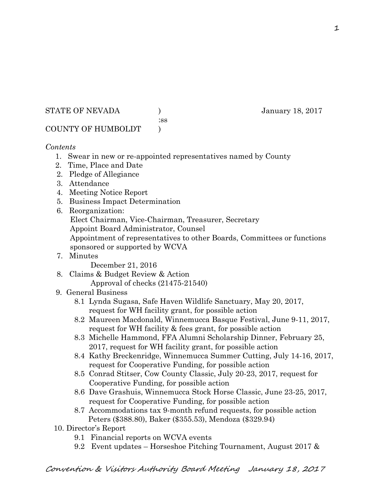STATE OF NEVADA (anuary 18, 2017)

:ss

# COUNTY OF HUMBOLDT )

## *Contents*

- 1. Swear in new or re-appointed representatives named by County
- 2. Time, Place and Date
- 2. Pledge of Allegiance
- 3. Attendance
- 4. Meeting Notice Report
- 5. Business Impact Determination
- 6. Reorganization:
	- Elect Chairman, Vice-Chairman, Treasurer, Secretary
	- Appoint Board Administrator, Counsel
	- Appointment of representatives to other Boards, Committees or functions sponsored or supported by WCVA
- 7. Minutes

December 21, 2016

- 8. Claims & Budget Review & Action
	- Approval of checks (21475-21540)
- 9. General Business
	- 8.1 Lynda Sugasa, Safe Haven Wildlife Sanctuary, May 20, 2017, request for WH facility grant, for possible action
	- 8.2 Maureen Macdonald, Winnemucca Basque Festival, June 9-11, 2017, request for WH facility & fees grant, for possible action
	- 8.3 Michelle Hammond, FFA Alumni Scholarship Dinner, February 25, 2017, request for WH facility grant, for possible action
	- 8.4 Kathy Breckenridge, Winnemucca Summer Cutting, July 14-16, 2017, request for Cooperative Funding, for possible action
	- 8.5 Conrad Stitser, Cow County Classic, July 20-23, 2017, request for Cooperative Funding, for possible action
	- 8.6 Dave Grashuis, Winnemucca Stock Horse Classic, June 23-25, 2017, request for Cooperative Funding, for possible action
	- 8.7 Accommodations tax 9-month refund requests, for possible action Peters (\$388.80), Baker (\$355.53), Mendoza (\$329.94)
- 10. Director's Report
	- 9.1 Financial reports on WCVA events
	- 9.2 Event updates Horseshoe Pitching Tournament, August 2017 &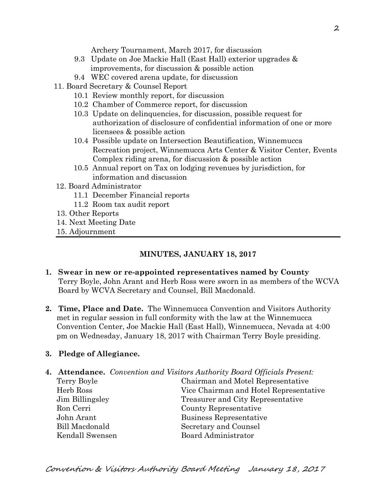Archery Tournament, March 2017, for discussion

- 9.3 Update on Joe Mackie Hall (East Hall) exterior upgrades & improvements, for discussion & possible action
- 9.4 WEC covered arena update, for discussion
- 11. Board Secretary & Counsel Report
	- 10.1 Review monthly report, for discussion
	- 10.2 Chamber of Commerce report, for discussion
	- 10.3 Update on delinquencies, for discussion, possible request for authorization of disclosure of confidential information of one or more licensees & possible action
	- 10.4 Possible update on Intersection Beautification, Winnemucca Recreation project, Winnemucca Arts Center & Visitor Center, Events Complex riding arena, for discussion & possible action
	- 10.5 Annual report on Tax on lodging revenues by jurisdiction, for information and discussion
- 12. Board Administrator
	- 11.1 December Financial reports
	- 11.2 Room tax audit report
- 13. Other Reports
- 14. Next Meeting Date
- 15. Adjournment

# **MINUTES, JANUARY 18, 2017**

- **1. Swear in new or re-appointed representatives named by County** Terry Boyle, John Arant and Herb Ross were sworn in as members of the WCVA Board by WCVA Secretary and Counsel, Bill Macdonald.
- **2. Time, Place and Date.** The Winnemucca Convention and Visitors Authority met in regular session in full conformity with the law at the Winnemucca Convention Center, Joe Mackie Hall (East Hall), Winnemucca, Nevada at 4:00 pm on Wednesday, January 18, 2017 with Chairman Terry Boyle presiding.

# **3. Pledge of Allegiance.**

- **4. Attendance.** *Convention and Visitors Authority Board Officials Present:* 
	-
	- Terry Boyle Chairman and Motel Representative Herb Ross Vice Chairman and Hotel Representative Jim Billingsley Treasurer and City Representative Ron Cerri County Representative John Arant Business Representative Bill Macdonald Secretary and Counsel Kendall Swensen Board Administrator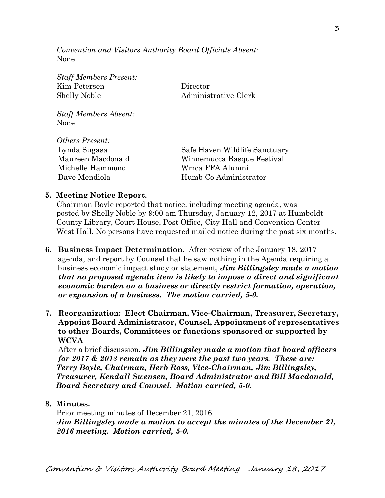*Convention and Visitors Authority Board Officials Absent:*  None

*Staff Members Present:*  Kim Petersen Director Shelly Noble Administrative Clerk *Staff Members Absent:*  None *Others Present:*  Lynda Sugasa Safe Haven Wildlife Sanctuary Maureen Macdonald Winnemucca Basque Festival Michelle Hammond Wmca FFA Alumni Dave Mendiola **Humb Co Administrator** 

### **5. Meeting Notice Report.**

Chairman Boyle reported that notice, including meeting agenda, was posted by Shelly Noble by 9:00 am Thursday, January 12, 2017 at Humboldt County Library, Court House, Post Office, City Hall and Convention Center West Hall. No persons have requested mailed notice during the past six months.

- **6. Business Impact Determination.** After review of the January 18, 2017 agenda, and report by Counsel that he saw nothing in the Agenda requiring a business economic impact study or statement, *Jim Billingsley made a motion that no proposed agenda item is likely to impose a direct and significant economic burden on a business or directly restrict formation, operation, or expansion of a business. The motion carried, 5-0.*
- **7. Reorganization: Elect Chairman, Vice-Chairman, Treasurer, Secretary, Appoint Board Administrator, Counsel, Appointment of representatives to other Boards, Committees or functions sponsored or supported by WCVA**

After a brief discussion, *Jim Billingsley made a motion that board officers for 2017 & 2018 remain as they were the past two years. These are: Terry Boyle, Chairman, Herb Ross, Vice-Chairman, Jim Billingsley, Treasurer, Kendall Swensen, Board Administrator and Bill Macdonald, Board Secretary and Counsel. Motion carried, 5-0.* 

**8. Minutes.** 

Prior meeting minutes of December 21, 2016. *Jim Billingsley made a motion to accept the minutes of the December 21, 2016 meeting. Motion carried, 5-0.*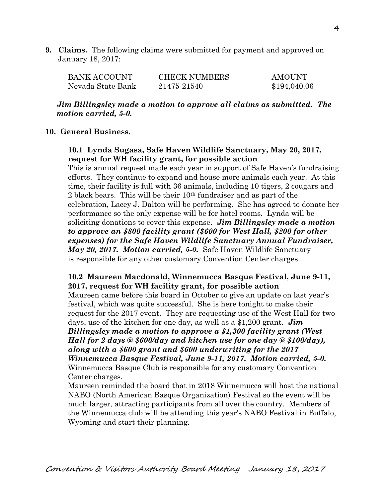**9. Claims.** The following claims were submitted for payment and approved on January 18, 2017:

| BANK ACCOUNT      | <b>CHECK NUMBERS</b> | <b>AMOUNT</b> |
|-------------------|----------------------|---------------|
| Nevada State Bank | 21475-21540          | \$194,040.06  |

*Jim Billingsley made a motion to approve all claims as submitted. The motion carried, 5-0.* 

## **10. General Business.**

# **10.1 Lynda Sugasa, Safe Haven Wildlife Sanctuary, May 20, 2017, request for WH facility grant, for possible action**

This is annual request made each year in support of Safe Haven's fundraising efforts. They continue to expand and house more animals each year. At this time, their facility is full with 36 animals, including 10 tigers, 2 cougars and 2 black bears. This will be their 10th fundraiser and as part of the celebration, Lacey J. Dalton will be performing. She has agreed to donate her performance so the only expense will be for hotel rooms. Lynda will be soliciting donations to cover this expense. *Jim Billingsley made a motion to approve an \$800 facility grant (\$600 for West Hall, \$200 for other expenses) for the Safe Haven Wildlife Sanctuary Annual Fundraiser, May 20, 2017. Motion carried, 5-0.* Safe Haven Wildlife Sanctuary is responsible for any other customary Convention Center charges.

# **10.2 Maureen Macdonald, Winnemucca Basque Festival, June 9-11, 2017, request for WH facility grant, for possible action**

Maureen came before this board in October to give an update on last year's festival, which was quite successful. She is here tonight to make their request for the 2017 event. They are requesting use of the West Hall for two days, use of the kitchen for one day, as well as a \$1,200 grant. *Jim* 

*Billingsley made a motion to approve a \$1,300 facility grant (West Hall for 2 days @ \$600/day and kitchen use for one day @ \$100/day), along with a \$600 grant and \$600 underwriting for the 2017 Winnemucca Basque Festival, June 9-11, 2017. Motion carried, 5-0.*  Winnemucca Basque Club is responsible for any customary Convention Center charges.

Maureen reminded the board that in 2018 Winnemucca will host the national NABO (North American Basque Organization) Festival so the event will be much larger, attracting participants from all over the country. Members of the Winnemucca club will be attending this year's NABO Festival in Buffalo, Wyoming and start their planning.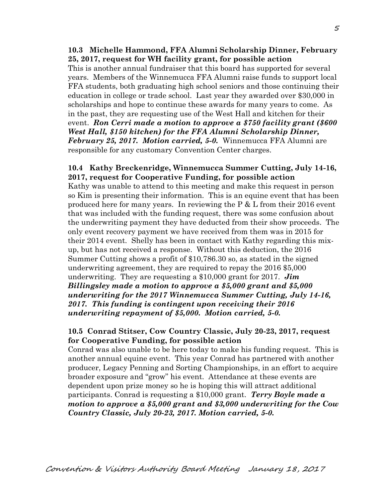## **10.3 Michelle Hammond, FFA Alumni Scholarship Dinner, February 25, 2017, request for WH facility grant, for possible action**

This is another annual fundraiser that this board has supported for several years. Members of the Winnemucca FFA Alumni raise funds to support local FFA students, both graduating high school seniors and those continuing their education in college or trade school. Last year they awarded over \$30,000 in scholarships and hope to continue these awards for many years to come. As in the past, they are requesting use of the West Hall and kitchen for their event. *Ron Cerri made a motion to approve a \$750 facility grant (\$600 West Hall, \$150 kitchen) for the FFA Alumni Scholarship Dinner, February 25, 2017. Motion carried, 5-0.* Winnemucca FFA Alumni are responsible for any customary Convention Center charges.

# **10.4 Kathy Breckenridge, Winnemucca Summer Cutting, July 14-16, 2017, request for Cooperative Funding, for possible action**

Kathy was unable to attend to this meeting and make this request in person so Kim is presenting their information. This is an equine event that has been produced here for many years. In reviewing the  $P \& L$  from their 2016 event that was included with the funding request, there was some confusion about the underwriting payment they have deducted from their show proceeds. The only event recovery payment we have received from them was in 2015 for their 2014 event. Shelly has been in contact with Kathy regarding this mixup, but has not received a response. Without this deduction, the 2016 Summer Cutting shows a profit of \$10,786.30 so, as stated in the signed underwriting agreement, they are required to repay the 2016 \$5,000 underwriting. They are requesting a \$10,000 grant for 2017. *Jim Billingsley made a motion to approve a \$5,000 grant and \$5,000 underwriting for the 2017 Winnemucca Summer Cutting, July 14-16, 2017. This funding is contingent upon receiving their 2016 underwriting repayment of \$5,000. Motion carried, 5-0.* 

## **10.5 Conrad Stitser, Cow Country Classic, July 20-23, 2017, request for Cooperative Funding, for possible action**

Conrad was also unable to be here today to make his funding request. This is another annual equine event. This year Conrad has partnered with another producer, Legacy Penning and Sorting Championships, in an effort to acquire broader exposure and "grow" his event. Attendance at these events are dependent upon prize money so he is hoping this will attract additional participants. Conrad is requesting a \$10,000 grant. *Terry Boyle made a motion to approve a \$5,000 grant and \$3,000 underwriting for the Cow Country Classic, July 20-23, 2017. Motion carried, 5-0.*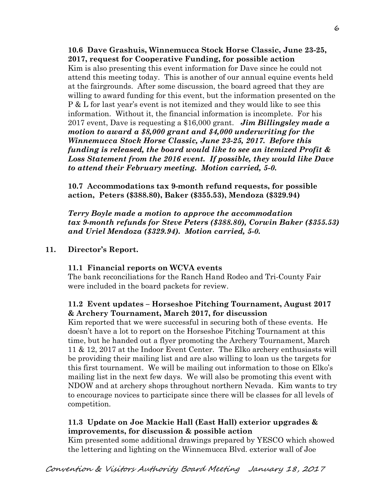**10.6 Dave Grashuis, Winnemucca Stock Horse Classic, June 23-25, 2017, request for Cooperative Funding, for possible action**  Kim is also presenting this event information for Dave since he could not attend this meeting today. This is another of our annual equine events held at the fairgrounds. After some discussion, the board agreed that they are willing to award funding for this event, but the information presented on the P & L for last year's event is not itemized and they would like to see this information. Without it, the financial information is incomplete. For his 2017 event, Dave is requesting a \$16,000 grant. *Jim Billingsley made a motion to award a \$8,000 grant and \$4,000 underwriting for the Winnemucca Stock Horse Classic, June 23-25, 2017. Before this funding is released, the board would like to see an itemized Profit & Loss Statement from the 2016 event. If possible, they would like Dave to attend their February meeting. Motion carried, 5-0.*

**10.7 Accommodations tax 9-month refund requests, for possible action, Peters (\$388.80), Baker (\$355.53), Mendoza (\$329.94)** 

*Terry Boyle made a motion to approve the accommodation tax 9-month refunds for Steve Peters (\$388.80), Corwin Baker (\$355.53) and Uriel Mendoza (\$329.94). Motion carried, 5-0.*

# **11. Director's Report.**

# **11.1 Financial reports on WCVA events**

The bank reconciliations for the Ranch Hand Rodeo and Tri-County Fair were included in the board packets for review.

# **11.2 Event updates – Horseshoe Pitching Tournament, August 2017 & Archery Tournament, March 2017, for discussion**

Kim reported that we were successful in securing both of these events. He doesn't have a lot to report on the Horseshoe Pitching Tournament at this time, but he handed out a flyer promoting the Archery Tournament, March 11 & 12, 2017 at the Indoor Event Center. The Elko archery enthusiasts will be providing their mailing list and are also willing to loan us the targets for this first tournament. We will be mailing out information to those on Elko's mailing list in the next few days. We will also be promoting this event with NDOW and at archery shops throughout northern Nevada. Kim wants to try to encourage novices to participate since there will be classes for all levels of competition.

# **11.3 Update on Joe Mackie Hall (East Hall) exterior upgrades & improvements, for discussion & possible action**

Kim presented some additional drawings prepared by YESCO which showed the lettering and lighting on the Winnemucca Blvd. exterior wall of Joe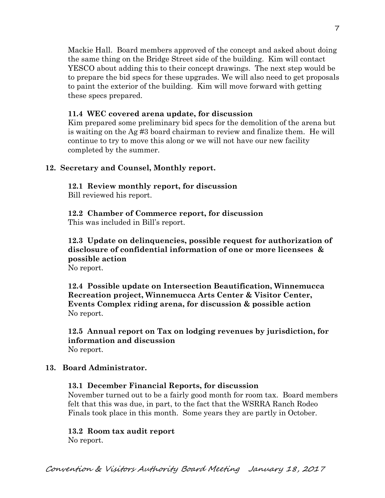Mackie Hall. Board members approved of the concept and asked about doing the same thing on the Bridge Street side of the building. Kim will contact YESCO about adding this to their concept drawings. The next step would be to prepare the bid specs for these upgrades. We will also need to get proposals to paint the exterior of the building. Kim will move forward with getting these specs prepared.

# **11.4 WEC covered arena update, for discussion**

Kim prepared some preliminary bid specs for the demolition of the arena but is waiting on the Ag #3 board chairman to review and finalize them. He will continue to try to move this along or we will not have our new facility completed by the summer.

# **12. Secretary and Counsel, Monthly report.**

**12.1 Review monthly report, for discussion**  Bill reviewed his report.

**12.2 Chamber of Commerce report, for discussion**  This was included in Bill's report.

**12.3 Update on delinquencies, possible request for authorization of disclosure of confidential information of one or more licensees & possible action** 

No report.

**12.4 Possible update on Intersection Beautification, Winnemucca Recreation project, Winnemucca Arts Center & Visitor Center, Events Complex riding arena, for discussion & possible action**  No report.

**12.5 Annual report on Tax on lodging revenues by jurisdiction, for information and discussion**  No report.

# **13. Board Administrator.**

# **13.1 December Financial Reports, for discussion**

November turned out to be a fairly good month for room tax. Board members felt that this was due, in part, to the fact that the WSRRA Ranch Rodeo Finals took place in this month. Some years they are partly in October.

## **13.2 Room tax audit report**

No report.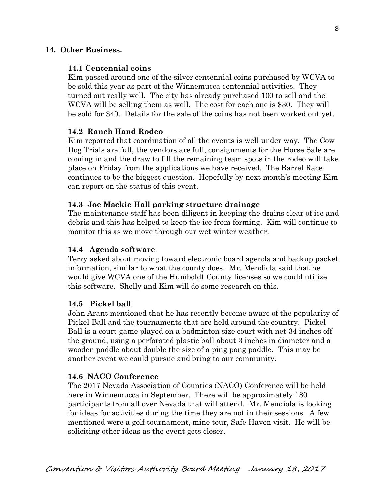# **14. Other Business.**

## **14.1 Centennial coins**

Kim passed around one of the silver centennial coins purchased by WCVA to be sold this year as part of the Winnemucca centennial activities. They turned out really well. The city has already purchased 100 to sell and the WCVA will be selling them as well. The cost for each one is \$30. They will be sold for \$40. Details for the sale of the coins has not been worked out yet.

### **14.2 Ranch Hand Rodeo**

Kim reported that coordination of all the events is well under way. The Cow Dog Trials are full, the vendors are full, consignments for the Horse Sale are coming in and the draw to fill the remaining team spots in the rodeo will take place on Friday from the applications we have received. The Barrel Race continues to be the biggest question. Hopefully by next month's meeting Kim can report on the status of this event.

### **14.3 Joe Mackie Hall parking structure drainage**

The maintenance staff has been diligent in keeping the drains clear of ice and debris and this has helped to keep the ice from forming. Kim will continue to monitor this as we move through our wet winter weather.

#### **14.4 Agenda software**

Terry asked about moving toward electronic board agenda and backup packet information, similar to what the county does. Mr. Mendiola said that he would give WCVA one of the Humboldt County licenses so we could utilize this software. Shelly and Kim will do some research on this.

#### **14.5 Pickel ball**

John Arant mentioned that he has recently become aware of the popularity of Pickel Ball and the tournaments that are held around the country. Pickel Ball is a court-game played on a badminton size court with net 34 inches off the ground, using a perforated plastic ball about 3 inches in diameter and a wooden paddle about double the size of a ping pong paddle. This may be another event we could pursue and bring to our community.

#### **14.6 NACO Conference**

The 2017 Nevada Association of Counties (NACO) Conference will be held here in Winnemucca in September. There will be approximately 180 participants from all over Nevada that will attend. Mr. Mendiola is looking for ideas for activities during the time they are not in their sessions. A few mentioned were a golf tournament, mine tour, Safe Haven visit. He will be soliciting other ideas as the event gets closer.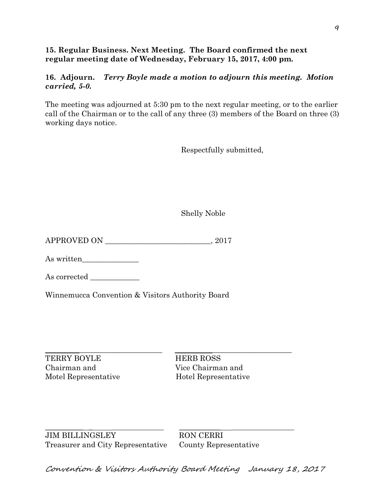# **15. Regular Business. Next Meeting. The Board confirmed the next regular meeting date of Wednesday, February 15, 2017, 4:00 pm.**

# **16. Adjourn.** *Terry Boyle made a motion to adjourn this meeting. Motion carried, 5-0.*

The meeting was adjourned at 5:30 pm to the next regular meeting, or to the earlier call of the Chairman or to the call of any three (3) members of the Board on three (3) working days notice.

Respectfully submitted,

Shelly Noble

APPROVED ON \_\_\_\_\_\_\_\_\_\_\_\_\_\_\_\_\_\_\_\_\_\_\_\_\_\_\_\_, 2017

As written\_\_\_\_\_\_\_\_\_\_\_\_\_\_\_

As corrected \_\_\_\_\_\_\_\_\_\_\_\_\_

Winnemucca Convention & Visitors Authority Board

\_\_\_\_\_\_\_\_\_\_\_\_\_\_\_\_\_\_\_\_\_\_\_\_\_\_\_\_\_\_\_ \_\_\_\_\_\_\_\_\_\_\_\_\_\_\_\_\_\_\_\_\_\_\_\_\_\_\_\_\_\_\_ TERRY BOYLE HERB ROSS Chairman and Vice Chairman and

Motel Representative Hotel Representative

\_\_\_\_\_\_\_\_\_\_\_ \_ \_\_\_\_\_\_\_\_\_\_\_\_\_\_\_ \_\_\_\_\_\_\_\_\_\_\_\_ \_\_\_\_\_\_\_\_\_\_\_\_\_\_\_\_\_\_ JIM BILLINGSLEY RON CERRI Treasurer and City Representative County Representative